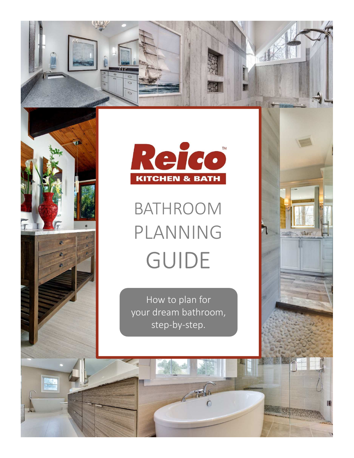



# BATHROOM PLANNING GUIDE

MARC

順

 $\mathbb T$ 

How to plan for your dream bathroom, step-by-step.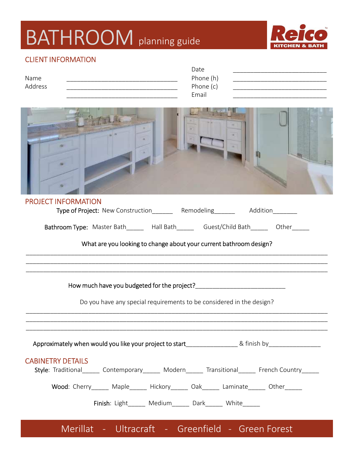### BATHROOM planning guide



#### CLIENT INFORMATION

|         | Date      |
|---------|-----------|
| Name    | Phone (h) |
| Address | Phone (c) |
|         | Email     |
|         |           |

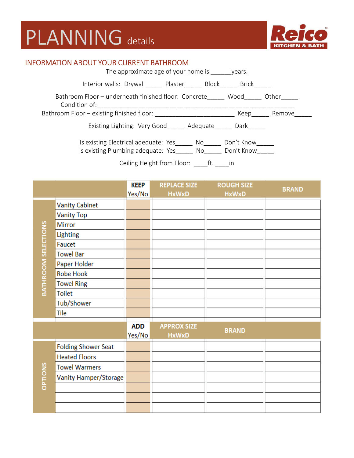## PLANNING details



#### INFORMATION ABOUT YOUR CURRENT BATHROOM

| The approximate age of your home is                                                    | vears.                   |        |
|----------------------------------------------------------------------------------------|--------------------------|--------|
| Interior walls: Drywall Plaster Block                                                  | Brick                    |        |
| Bathroom Floor - underneath finished floor: Concrete<br>Condition of:                  | Wood                     | Other  |
| Bathroom Floor - existing finished floor:                                              | Keep                     | Remove |
| Existing Lighting: Very Good<br>Adequate                                               | Dark                     |        |
| Is existing Electrical adequate: Yes<br>No<br>Is existing Plumbing adequate: Yes<br>No | Don't Know<br>Don't Know |        |
| Ceiling Height from Floor:<br>ft.                                                      | $\mathsf{I} \mathsf{n}$  |        |

|                            |                            | <b>KEEP</b><br>Yes/No | <b>REPLACE SIZE</b><br><b>HxWxD</b> | <b>ROUGH SIZE</b><br><b>HxWxD</b> | <b>BRAND</b> |
|----------------------------|----------------------------|-----------------------|-------------------------------------|-----------------------------------|--------------|
|                            | <b>Vanity Cabinet</b>      |                       |                                     |                                   |              |
|                            | <b>Vanity Top</b>          |                       |                                     |                                   |              |
|                            | Mirror                     |                       |                                     |                                   |              |
|                            | <b>Lighting</b>            |                       |                                     |                                   |              |
|                            | Faucet                     |                       |                                     |                                   |              |
|                            | <b>Towel Bar</b>           |                       |                                     |                                   |              |
| <b>BATHROOM SELECTIONS</b> | Paper Holder               |                       |                                     |                                   |              |
|                            | <b>Robe Hook</b>           |                       |                                     |                                   |              |
|                            | <b>Towel Ring</b>          |                       |                                     |                                   |              |
|                            | <b>Toilet</b>              |                       |                                     |                                   |              |
|                            | Tub/Shower                 |                       |                                     |                                   |              |
|                            | Tile                       |                       |                                     |                                   |              |
|                            |                            | <b>ADD</b><br>Yes/No  | <b>APPROX SIZE</b><br><b>HxWxD</b>  | <b>BRAND</b>                      |              |
|                            | <b>Folding Shower Seat</b> |                       |                                     |                                   |              |
|                            | <b>Heated Floors</b>       |                       |                                     |                                   |              |
|                            | <b>Towel Warmers</b>       |                       |                                     |                                   |              |
| <b>CPTIONS</b>             | Vanity Hamper/Storage      |                       |                                     |                                   |              |
|                            |                            |                       |                                     |                                   |              |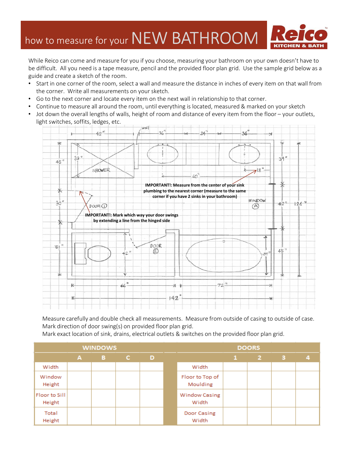### how to measure for your NEW BATHROOM



While Reico can come and measure for you if you choose, measuring your bathroom on your own doesn't have to be difficult. All you need is a tape measure, pencil and the provided floor plan grid. Use the sample grid below as a guide and create a sketch of the room.

- Start in one corner of the room, select a wall and measure the distance in inches of every item on that wall from the corner. Write all measurements on your sketch.
- Go to the next corner and locate every item on the next wall in relationship to that corner.
- Continue to measure all around the room, until everything is located, measured & marked on your sketch
- Jot down the overall lengths of walls, height of room and distance of every item from the floor your outlets, light switches, soffits, ledges, etc.



Measure carefully and double check all measurements. Measure from outside of casing to outside of case. Mark direction of door swing(s) on provided floor plan grid.

Mark exact location of sink, drains, electrical outlets & switches on the provided floor plan grid.

|                         |   | <b>WINDOWS</b> |    |   | <b>DOORS</b> |                               |  |              |   |   |  |  |  |  |
|-------------------------|---|----------------|----|---|--------------|-------------------------------|--|--------------|---|---|--|--|--|--|
|                         | A | в              | C. | D |              |                               |  | $\mathbf{2}$ | з | 4 |  |  |  |  |
| Width                   |   |                |    |   |              | Width                         |  |              |   |   |  |  |  |  |
| Window<br>Height        |   |                |    |   |              | Floor to Top of<br>Moulding   |  |              |   |   |  |  |  |  |
| Floor to Sill<br>Height |   |                |    |   |              | <b>Window Casing</b><br>Width |  |              |   |   |  |  |  |  |
| Total<br>Height         |   |                |    |   |              | Door Casing<br>Width          |  |              |   |   |  |  |  |  |